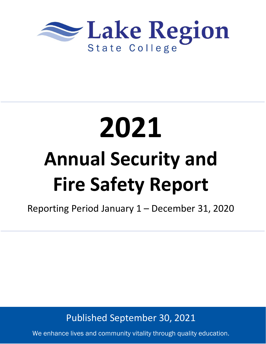

# **2021 Annual Security and Fire Safety Report**

Reporting Period January 1 – December 31, 2020

Published September 30, 2021

We enhance lives and community vitality through quality education.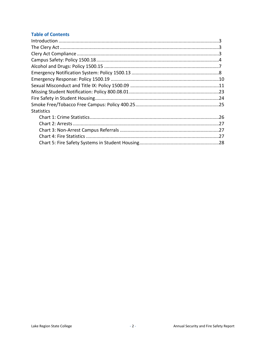# **Table of Contents**

| <b>Statistics</b> |  |
|-------------------|--|
|                   |  |
|                   |  |
|                   |  |
|                   |  |
|                   |  |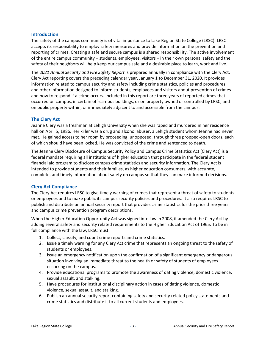# **Introduction**

The safety of the campus community is of vital importance to Lake Region State College (LRSC). LRSC accepts its responsibility to employ safety measures and provide information on the prevention and reporting of crimes. Creating a safe and secure campus is a shared responsibility. The active involvement of the entire campus community – students, employees, visitors – in their own personal safety and the safety of their neighbors will help keep our campus safe and a desirable place to learn, work and live.

The *2021 Annual Security and Fire Safety Report* is prepared annually in compliance with the Clery Act. Clery Act reporting covers the preceding calendar year, January 1 to December 31, 2020. It provides information related to campus security and safety including crime statistics, policies and procedures, and other information designed to inform students, employees and visitors about prevention of crimes and how to respond if a crime occurs. Included in this report are three years of reported crimes that occurred on campus, in certain off-campus buildings, or on property owned or controlled by LRSC, and on public property within, or immediately adjacent to and accessible from the campus.

# **The Clery Act**

Jeanne Clery was a freshman at Lehigh University when she was raped and murdered in her residence hall on April 5, 1986. Her killer was a drug and alcohol abuser, a Lehigh student whom Jeanne had never met. He gained access to her room by proceeding, unopposed, through three propped-open doors, each of which should have been locked. He was convicted of the crime and sentenced to death.

The Jeanne Clery Disclosure of Campus Security Policy and Campus Crime Statistics Act (Clery Act) is a federal mandate requiring all institutions of higher education that participate in the federal student financial aid program to disclose campus crime statistics and security information. The Clery Act is intended to provide students and their families, as higher education consumers, with accurate, complete, and timely information about safety on campus so that they can make informed decisions.

### **Clery Act Compliance**

The Clery Act requires LRSC to give timely warning of crimes that represent a threat of safety to students or employees and to make public its campus security policies and procedures. It also requires LRSC to publish and distribute an annual security report that provides crime statistics for the prior three years and campus crime prevention program descriptions.

When the Higher Education Opportunity Act was signed into law in 2008, it amended the Clery Act by adding several safety and security related requirements to the Higher Education Act of 1965. To be in full compliance with the law, LRSC must:

- 1. Collect, classify, and count crime reports and crime statistics.
- 2. Issue a timely warning for any Clery Act crime that represents an ongoing threat to the safety of students or employees.
- 3. Issue an emergency notification upon the confirmation of a significant emergency or dangerous situation involving an immediate threat to the health or safety of students of employees occurring on the campus.
- 4. Provide educational programs to promote the awareness of dating violence, domestic violence, sexual assault, and stalking.
- 5. Have procedures for institutional disciplinary action in cases of dating violence, domestic violence, sexual assault, and stalking.
- 6. Publish an annual security report containing safety and security related policy statements and crime statistics and distribute it to all current students and employees.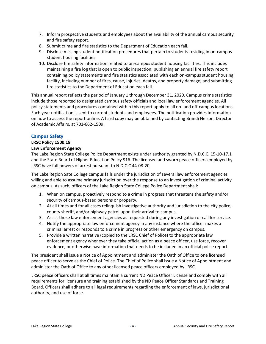- 7. Inform prospective students and employees about the availability of the annual campus security and fire safety report.
- 8. Submit crime and fire statistics to the Department of Education each fall.
- 9. Disclose missing student notification procedures that pertain to students residing in on-campus student housing facilities.
- 10. Disclose fire safety information related to on-campus student housing facilities. This includes maintaining a fire log that is open to public inspection; publishing an annual fire safety report containing policy statements and fire statistics associated with each on-campus student housing facility, including number of fires, cause, injuries, deaths, and property damage; and submitting fire statistics to the Department of Education each fall.

This annual report reflects the period of January 1 through December 31, 2020. Campus crime statistics include those reported to designated campus safety officials and local law enforcement agencies. All policy statements and procedures contained within this report apply to all on- and off-campus locations. Each year notification is sent to current students and employees. The notification provides information on how to access the report online. A hard copy may be obtained by contacting Brandi Nelson, Director of Academic Affairs, at 701-662-1509.

# **Campus Safety**

# **LRSC Policy 1500.18**

# **Law Enforcement Agency**

The Lake Region State College Police Department exists under authority granted by N.D.C.C. 15-10-17.1 and the State Board of Higher Education Policy 916. The licensed and sworn peace officers employed by LRSC have full powers of arrest pursuant to N.D.C.C 44-08-20.

The Lake Region Sate College campus falls under the jurisdiction of several law enforcement agencies willing and able to assume primary jurisdiction over the response to an investigation of criminal activity on campus. As such, officers of the Lake Region State College Police Department shall:

- 1. When on campus, proactively respond to a crime in progress that threatens the safety and/or security of campus-based persons or property.
- 2. At all times and for all cases relinquish investigative authority and jurisdiction to the city police, county sheriff, and/or highway patrol upon their arrival to campus.
- 3. Assist those law enforcement agencies as requested during any investigation or call for service.
- 4. Notify the appropriate law enforcement agency in any instance where the officer makes a criminal arrest or responds to a crime in progress or other emergency on campus.
- 5. Provide a written narrative (copied to the LRSC Chief of Police) to the appropriate law enforcement agency whenever they take official action as a peace officer, use force, recover evidence, or otherwise have information that needs to be included in an official police report.

The president shall issue a Notice of Appointment and administer the Oath of Office to one licensed peace officer to serve as the Chief of Police. The Chief of Police shall issue a Notice of Appointment and administer the Oath of Office to any other licensed peace officers employed by LRSC.

LRSC peace officers shall at all times maintain a current ND Peace Officer License and comply with all requirements for licensure and training established by the ND Peace Officer Standards and Training Board. Officers shall adhere to all legal requirements regarding the enforcement of laws, jurisdictional authority, and use of force.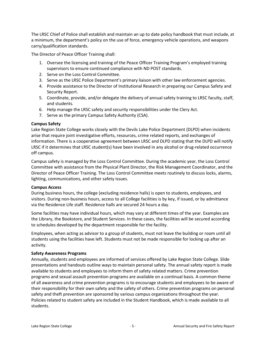The LRSC Chief of Police shall establish and maintain an up to date policy handbook that must include, at a minimum, the department's policy on the use of force, emergency vehicle operations, and weapons carry/qualification standards.

The Director of Peace Officer Training shall:

- 1. Oversee the licensing and training of the Peace Officer Training Program's employed training supervisors to ensure continued compliance with ND POST standards.
- 2. Serve on the Loss Control Committee.
- 3. Serve as the LRSC Police Department's primary liaison with other law enforcement agencies.
- 4. Provide assistance to the Director of Institutional Research in preparing our Campus Safety and Security Report.
- 5. Coordinate, provide, and/or delegate the delivery of annual safety training to LRSC faculty, staff, and students.
- 6. Help manage the LRSC safety and security responsibilities under the Clery Act.
- 7. Serve as the primary Campus Safety Authority (CSA).

# **Campus Safety**

Lake Region State College works closely with the Devils Lake Police Department (DLPD) when incidents arise that require joint investigative efforts, resources, crime related reports, and exchanges of information. There is a cooperative agreement between LRSC and DLPD stating that the DLPD will notify LRSC if it determines that LRSC student(s) have been involved in any alcohol or drug-related occurrence off campus.

Campus safety is managed by the Loss Control Committee. During the academic year, the Loss Control Committee with assistance from the Physical Plant Director, the Risk Management Coordinator, and the Director of Peace Officer Training. The Loss Control Committee meets routinely to discuss locks, alarms, lighting, communications, and other safety issues.

### **Campus Access**

During business hours, the college (excluding residence halls) is open to students, employees, and visitors. During non-business hours, access to all College facilities is by key, if issued, or by admittance via the Residence Life staff. Residence halls are secured 24 hours a day.

Some facilities may have individual hours, which may vary at different times of the year. Examples are the Library, the Bookstore, and Student Services. In these cases, the facilities will be secured according to schedules developed by the department responsible for the facility.

Employees, when acting as advisor to a group of students, must not leave the building or room until all students using the facilities have left. Students must not be made responsible for locking up after an activity.

# **Safety Awareness Programs**

Annually, students and employees are informed of services offered by Lake Region State College. Slide presentations and handouts outline ways to maintain personal safety. The annual safety report is made available to students and employees to inform them of safety related matters. Crime prevention programs and sexual assault prevention programs are available on a continual basis. A common theme of all awareness and crime prevention programs is to encourage students and employees to be aware of their responsibility for their own safety and the safety of others. Crime prevention programs on personal safety and theft prevention are sponsored by various campus organizations throughout the year. Policies related to student safety are included in the Student Handbook, which is made available to all students.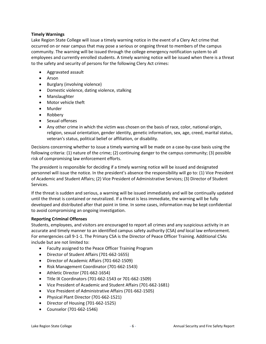# **Timely Warnings**

Lake Region State College will issue a timely warning notice in the event of a Clery Act crime that occurred on or near campus that may pose a serious or ongoing threat to members of the campus community. The warning will be issued through the college emergency notification system to all employees and currently enrolled students. A timely warning notice will be issued when there is a threat to the safety and security of persons for the following Clery Act crimes:

- Aggravated assault
- Arson
- Burglary (involving violence)
- Domestic violence, dating violence, stalking
- Manslaughter
- Motor vehicle theft
- Murder
- Robbery
- Sexual offenses
- Any other crime in which the victim was chosen on the basis of race, color, national origin, religion, sexual orientation, gender identity, genetic information, sex, age, creed, marital status, veteran's status, political belief or affiliation, or disability.

Decisions concerning whether to issue a timely warning will be made on a case-by-case basis using the following criteria: (1) nature of the crime; (2) continuing danger to the campus community; (3) possible risk of compromising law enforcement efforts.

The president is responsible for deciding if a timely warning notice will be issued and designated personnel will issue the notice. In the president's absence the responsibility will go to: (1) Vice President of Academic and Student Affairs; (2) Vice President of Administrative Services; (3) Director of Student Services.

If the threat is sudden and serious, a warning will be issued immediately and will be continually updated until the threat is contained or neutralized. If a threat is less immediate, the warning will be fully developed and distributed after that point in time. In some cases, information may be kept confidential to avoid compromising an ongoing investigation.

### **Reporting Criminal Offenses**

Students, employees, and visitors are encouraged to report all crimes and any suspicious activity in an accurate and timely manner to an identified campus safety authority (CSA) *and* local law enforcement. For emergencies call 9-1-1. The Primary CSA is the Director of Peace Officer Training. Additional CSAs include but are not limited to:

- Faculty assigned to the Peace Officer Training Program
- Director of Student Affairs (701-662-1655)
- Director of Academic Affairs (701-662-1509)
- Risk Management Coordinator (701-662-1543)
- Athletic Director (701-662-1654)
- Title IX Coordinators (701-662-1543 or 701-662-1509)
- Vice President of Academic and Student Affairs (701-662-1681)
- Vice President of Administrative Affairs (701-662-1505)
- Physical Plant Director (701-662-1521)
- Director of Housing (701-662-1525)
- Counselor (701-662-1546)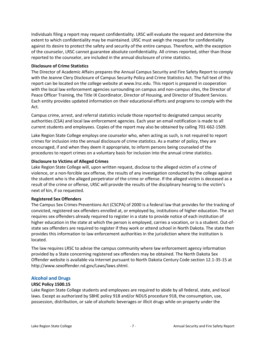Individuals filing a report may request confidentiality. LRSC will evaluate the request and determine the extent to which confidentiality may be maintained. LRSC must weigh the request for confidentiality against its desire to protect the safety and security of the entire campus. Therefore, with the exception of the counselor, LRSC cannot guarantee absolute confidentiality. All crimes reported, other than those reported to the counselor, are included in the annual disclosure of crime statistics.

### **Disclosure of Crime Statistics**

The Director of Academic Affairs prepares the Annual Campus Security and Fire Safety Report to comply with the Jeanne Clery Disclosure of Campus Security Policy and Crime Statistics Act. The full text of this report can be located on the college website at www.lrsc.edu. This report is prepared in cooperation with the local law enforcement agencies surrounding on campus and non-campus sites, the Director of Peace Officer Training, the Title IX Coordinator, Director of Housing, and Director of Student Services. Each entity provides updated information on their educational efforts and programs to comply with the Act.

Campus crime, arrest, and referral statistics include those reported to designated campus security authorities (CSA) and local law enforcement agencies. Each year an email notification is made to all current students and employees. Copies of the report may also be obtained by calling 701-662-1509.

Lake Region State College employs one counselor who, when acting as such, is not required to report crimes for inclusion into the annual disclosure of crime statistics. As a matter of policy, they are encouraged, if and when they deem it appropriate, to inform persons being counseled of the procedures to report crimes on a voluntary basis for inclusion into the annual crime statistics.

### **Disclosure to Victims of Alleged Crimes**

Lake Region State College will, upon written request, disclose to the alleged victim of a crime of violence, or a non-forcible sex offense, the results of any investigation conducted by the college against the student who is the alleged perpetrator of the crime or offense. If the alleged victim is deceased as a result of the crime or offense, LRSC will provide the results of the disciplinary hearing to the victim's next of kin, if so requested.

### **Registered Sex Offenders**

The Campus Sex Crimes Preventions Act (CSCPA) of 2000 is a federal law that provides for the tracking of convicted, registered sex offenders enrolled at, or employed by, institutions of higher education. The act requires sex offenders already required to register in a state to provide notice of each institution of higher education in the state at which the person is employed, carries a vocation, or is a student. Out-ofstate sex offenders are required to register if they work or attend school in North Dakota. The state then provides this information to law enforcement authorities in the jurisdiction where the institution is located.

The law requires LRSC to advise the campus community where law enforcement agency information provided by a State concerning registered sex offenders may be obtained. The North Dakota Sex Offender website is available via Internet pursuant to North Dakota Century Code section 12.1-35-15 at [http://www.sexoffender.nd.gov/Laws/laws.shtml.](http://www.sexoffender.nd.gov/Laws/laws.shtml)

### **Alcohol and Drugs**

### **LRSC Policy 1500.15**

Lake Region State College students and employees are required to abide by all federal, state, and local laws. Except as authorized by SBHE policy 918 and/or NDUS procedure 918, the consumption, use, possession, distribution, or sale of alcoholic beverages or illicit drugs while on property under the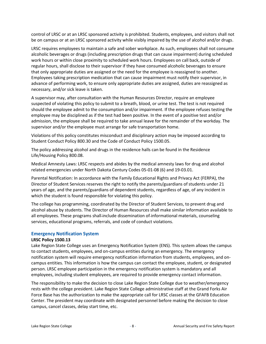control of LRSC or at an LRSC sponsored activity is prohibited. Students, employees, and visitors shall not be on campus or at an LRSC sponsored activity while visibly impaired by the use of alcohol and/or drugs.

LRSC requires employees to maintain a safe and sober workplace. As such, employees shall not consume alcoholic beverages or drugs (including prescription drugs that can cause impairment) during scheduled work hours or within close proximity to scheduled work hours. Employees on call back, outside of regular hours, shall disclose to their supervisor if they have consumed alcoholic beverages to ensure that only appropriate duties are assigned or the need for the employee is reassigned to another. Employees taking prescription medication that can cause impairment must notify their supervisor, in advance of performing work, to ensure only appropriate duties are assigned, duties are reassigned as necessary, and/or sick leave is taken.

A supervisor may, after consultation with the Human Resources Director, require an employee suspected of violating this policy to submit to a breath, blood, or urine test. The test is not required should the employee admit to the consumption and/or impairment. If the employee refuses testing the employee may be disciplined as if the test had been positive. In the event of a positive test and/or admission, the employee shall be required to take annual leave for the remainder of the workday. The supervisor and/or the employee must arrange for safe transportation home.

Violations of this policy constitutes misconduct and disciplinary action may be imposed according to Student Conduct Policy 800.30 and the Code of Conduct Policy 1500.05.

The policy addressing alcohol and drugs in the residence halls can be found in the Residence Life/Housing Policy 800.08.

Medical Amnesty Laws: LRSC respects and abides by the medical amnesty laws for drug and alcohol related emergencies under North Dakota Century Codes 05-01-08 (6) and 19-03.01.

Parental Notification: In accordance with the Family Educational Rights and Privacy Act (FERPA), the Director of Student Services reserves the right to notify the parents/guardians of students under 21 years of age, and the parents/guardians of dependent students, regardless of age, of any incident in which the student is found responsible for violating this policy.

The college has programming, coordinated by the Director of Student Services, to prevent drug and alcohol abuse by students. The Director of Human Resources shall make similar information available to all employees. These programs shall include dissemination of informational materials, counseling services, educational programs, referrals, and code of conduct violations.

### **Emergency Notification System**

### **LRSC Policy 1500.13**

Lake Region State College uses an Emergency Notification System (ENS). This system allows the campus to contact students, employees, and on-campus entities during an emergency. The emergency notification system will require emergency notification information from students, employees, and oncampus entities. This information is how the campus can contact the employee, student, or designated person. LRSC employee participation in the emergency notification system is mandatory and all employees, including student employees, are required to provide emergency contact information.

The responsibility to make the decision to close Lake Region State College due to weather/emergency rests with the college president. Lake Region State College administrative staff at the Grand Forks Air Force Base has the authorization to make the appropriate call for LRSC classes at the GFAFB Education Center. The president may coordinate with designated personnel before making the decision to close campus, cancel classes, delay start time, etc.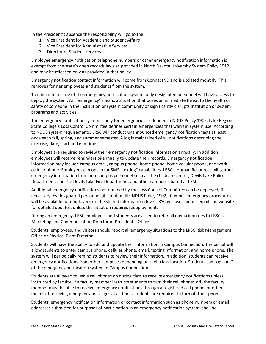In the President's absence the responsibility will go to the:

- 1. Vice President for Academic and Student Affairs
- 2. Vice President for Administrative Services
- 3. Director of Student Services

Employee emergency notification telephone numbers or other emergency notification information is exempt from the state's open records laws as provided in North Dakota University System Policy 1912 and may be released only as provided in that policy.

Emergency notification contact information will come from ConnectND and is updated monthly. This removes former employees and students from the system.

To eliminate misuse of the emergency notification system, only designated personnel will have access to deploy the system. An "emergency" means a situation that poses an immediate threat to the health or safety of someone in the institution or system community or significantly disrupts institution or system programs and activities.

The emergency notification system is only for emergencies as defined in NDUS Policy 1902. Lake Region State College's Loss Control Committee defines certain emergencies that warrant system use. According to NDUS system requirements, LRSC will conduct unannounced emergency notification tests at least once each fall, spring, and summer semester. A log is maintained of all notifications describing the exercise, date, start and end time.

Employees are required to review their emergency notification information annually. In addition, employees will receive reminders bi-annually to update their records. Emergency notification information may include campus email, campus phone, home phone, home cellular phone, and work cellular phone. Employees can opt-in for SMS "texting" capabilities. LRSC's Human Resources will gather emergency information from non-campus personnel such as the childcare center, Devils Lake Police Department, and the Devils Lake Fire Department, and other campuses based at LRSC.

Additional emergency notifications not outlined by the Loss Control Committee can be deployed, if necessary, by designated personnel (if situation fits NDUS Policy 1902). Campus emergency procedures will be available for employees on the shared information drive. LRSC will use campus email and website for detailed updates, unless the situation requires redeployment.

During an emergency, LRSC employees and students are asked to refer all media inquiries to LRSC's Marketing and Communication Director or President's Office.

Students, employees, and visitors should report all emergency situations to the LRSC Risk Management Office or Physical Plant Director.

Students will have the ability to add and update their information in Campus Connection. The portal will allow students to enter campus phone, cellular phone, email, texting information, and home phone. The system will periodically remind students to review their information. In addition, students can receive emergency notifications from other campuses depending on their class location. Students can "opt-out" of the emergency notification system in Campus Connection.

Students are allowed to leave cell phones on during class to receive emergency notifications unless instructed by faculty. If a faculty member instructs students to turn their cell phones off, the faculty member must be able to receive emergency notifications through a registered cell phone, or other means of receiving emergency messages at all times students are required to turn off their phones.

Students' emergency notification information or contact information such as phone numbers or email addresses submitted for purposes of participation in an emergency notification system, shall be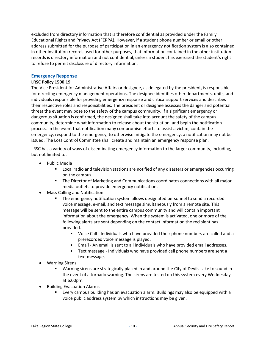excluded from directory information that is therefore confidential as provided under the Family Educational Rights and Privacy Act (FERPA). However, if a student phone number or email or other address submitted for the purpose of participation in an emergency notification system is also contained in other institution records used for other purposes, that information contained in the other institution records is directory information and not confidential, unless a student has exercised the student's right to refuse to permit disclosure of directory information.

### **Emergency Response**

### **LRSC Policy 1500.19**

The Vice President for Administrative Affairs or designee, as delegated by the president, is responsible for directing emergency management operations. The designee identifies other departments, units, and individuals responsible for providing emergency response and critical support services and describes their respective roles and responsibilities. The president or designee assesses the danger and potential threat the event may pose to the safety of the campus community. If a significant emergency or dangerous situation is confirmed, the designee shall take into account the safety of the campus community, determine what information to release about the situation, and begin the notification process. In the event that notification many compromise efforts to assist a victim, contain the emergency, respond to the emergency, to otherwise mitigate the emergency, a notification may not be issued. The Loss Control Committee shall create and maintain an emergency response plan.

LRSC has a variety of ways of disseminating emergency information to the larger community, including, but not limited to:

- Public Media
	- Local radio and television stations are notified of any disasters or emergencies occurring on the campus.
	- **■** The Director of Marketing and Communications coordinates connections with all major media outlets to provide emergency notifications.
- Mass Calling and Notification
	- The emergency notification system allows designated personnel to send a recorded voice message, e-mail, and text message simultaneously from a remote site. This message will be sent to the entire campus community and will contain important information about the emergency. When the system is activated, one or more of the following alerts are sent depending on the contact information the recipient has provided.
		- Voice Call Individuals who have provided their phone numbers are called and a prerecorded voice message is played.
		- Email An email is sent to all individuals who have provided email addresses.
		- Text message Individuals who have provided cell phone numbers are sent a text message.
- Warning Sirens
	- Warning sirens are strategically placed in and around the City of Devils Lake to sound in the event of a tornado warning. The sirens are tested on this system every Wednesday at 6:00pm.
- Building Evacuation Alarms
	- Every campus building has an evacuation alarm. Buildings may also be equipped with a voice public address system by which instructions may be given.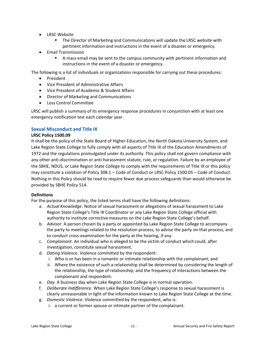- LRSC Website
	- **■** The Director of Marketing and Communications will update the LRSC website with pertinent information and instructions in the event of a disaster or emergency.
- Email Transmission
	- A mass email may be sent to the campus community with pertinent information and instructions in the event of a disaster or emergency.

The following is a list of individuals or organizations responsible for carrying out these procedures:

- President
- Vice President of Administrative Affairs
- Vice President of Academic & Student Affairs
- Director of Marketing and Communications
- Loss Control Committee

LRSC will publish a summary of its emergency response procedures in conjunction with at least one emergency notification test each calendar year.

# **Sexual Misconduct and Title IX**

### **LRSC Policy 1500.09**

It shall be the policy of the State Board of Higher Education, the North Dakota University System, and Lake Region State College to fully comply with all aspects of Title IX of the Education Amendments of 1972 and the regulations promulgated under its authority. This policy shall not govern compliance with any other anti-discrimination or anti-harassment statute, rule, or regulation. Failure by an employee of the SBHE, NDUS, or Lake Region State College to comply with the requirements of Title IX or this policy may constitute a violation of Policy 308.1 – Code of Conduct or LRSC Policy 1500.05 – Code of Conduct. Nothing in this Policy should be read to require fewer due process safeguards than would otherwise be provided by SBHE Policy 514.

### **Definitions**

For the purpose of this policy, the listed terms shall have the following definitions:

- a. *Actual Knowledge*. Notice of sexual harassment or allegations of sexual harassmentto Lake Region State College's Title IX Coordinator or any Lake Region State College official with authority to institute corrective measures on the Lake Region State College's behalf.
- b. *Advisor.* A person chosen by a party or appointed by Lake Region State College to accompany the party to meetings related to the resolution process, to advise the party on that process, and to conduct cross-examination for the party at the hearing, if any.
- c. *Complainant*. An individual who is alleged to be the victim of conduct which could, after investigation, constitute sexual harassment.
- d. *Dating Violence*. Violence committed by the respondent:
	- i. Who is or has been in a romantic or intimate relationship with the complainant; and
	- ii. Where the existence of such a relationship shall be determined by considering the length of the relationship, the type of relationship, and the frequency of interactions between the complainant and respondent.
- e. *Day.* A business day when Lake Region State College is in normal operation.
- f. *Deliberate Indifference*. When Lake Region State College's response to sexual harassment is clearly unreasonable in light of the information known to Lake Region State College at the time.
- g. *Domestic Violence*. Violence committed by the respondent, who is:
	- i. a current or former spouse or intimate partner of the complainant.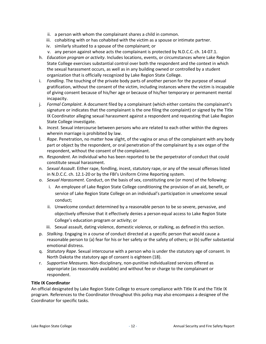- ii. a person with whom the complainant shares a child in common.
- iii. cohabiting with or has cohabited with the victim as a spouse orintimate partner.
- iv. similarly situated to a spouse of the complainant; or
- v. any person against whose acts the complainant is protected by N.D.C.C. ch. 14-07.1.
- h. *Education program or activity*. Includes locations, events, or circumstances where Lake Region State College exercises substantial control over both the respondent and the context in which the sexual harassment occurs, as well as in any building owned or controlled by a student organization that is officially recognized by Lake Region State College.
- i. *Fondling*. The touching of the private body parts of another person for the purpose of sexual gratification, without the consent of the victim, including instances where the victim is incapable of giving consent because of his/her age or because of his/her temporary or permanent mental incapacity.
- j. *Formal Complaint*. A document filed by a complainant (which either contains the complainant's signature or indicates that the complainant is the one filing the complaint) or signed by the Title IX Coordinator alleging sexual harassment against a respondent and requesting that Lake Region State College investigate.
- k. *Incest*. Sexual intercourse between persons who are related to each other within the degrees wherein marriage is prohibited by law.
- l. *Rape*. Penetration, no matter how slight, of the vagina or anus of the complainant with any body part or object by the respondent, or oral penetration of the complainant by a sex organ of the respondent, without the consent of the complainant.
- m. *Respondent*. An individual who has been reported to be the perpetrator of conduct that could constitute sexual harassment.
- n. *Sexual Assault*. Either rape, fondling, incest, statutory rape, or any of the sexual offenses listed in N.D.C.C. ch. 12.1-20 or by the FBI's Uniform Crime Reporting system.
- o. *Sexual Harassment*. Conduct, on the basis of sex, constituting one (or more) of the following:
	- i. An employee of Lake Region State College conditioning the provision of an aid, benefit, or service of Lake Region State College on an individual's participation in unwelcome sexual conduct;
	- ii. Unwelcome conduct determined by a reasonable person to be so severe, pervasive, and objectively offensive that it effectively denies a person equal access to Lake Region State College's education program or activity; or
	- iii. Sexual assault, dating violence, domestic violence, or stalking, as defined in this section.
- p. *Stalking*. Engaging in a course of conduct directed at a specific person that would cause a reasonable person to (a) fear for his or her safety or the safety of others; or(b) suffer substantial emotional distress.
- q. *Statutory Rape*. Sexual intercourse with a person who is under the statutory age of consent. In North Dakota the statutory age of consent is eighteen (18).
- r. *Supportive Measures*. Non-disciplinary, non-punitive individualized services offered as appropriate (as reasonably available) and without fee or charge to the complainant or respondent.

### **Title IX Coordinator**

An official designated by Lake Region State College to ensure compliance with Title IX and the Title IX program. References to the Coordinator throughout this policy may also encompass a designee of the Coordinator for specific tasks.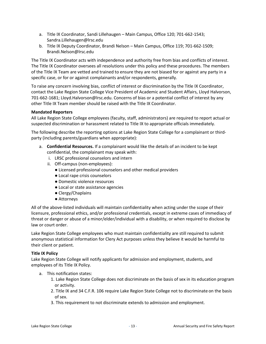- a. Title IX Coordinator, Sandi Lillehaugen Main Campus, Office 120; 701-662-1543; Sandra.Lillehaugen@lrsc.edu
- b. Title IX Deputy Coordinator, Brandi Nelson Main Campus, Office 119; 701-662-1509; Brandi.Nelson@lrsc.edu

The Title IX Coordinator acts with independence and authority free from bias and conflicts of interest. The Title IX Coordinator oversees all resolutions under this policy and these procedures. The members of the Title IX Team are vetted and trained to ensure they are not biased for or against any party in a specific case, or for or against complainants and/or respondents, generally.

To raise any concern involving bias, conflict of interest or discrimination by the Title IX Coordinator, contact the Lake Region State College Vice President of Academic and Student Affairs, Lloyd Halvorson, 701-662-1681; Lloyd.Halvorson@lrsc.edu. Concerns of bias or a potential conflict of interest by any other Title IX Team member should be raised with the Title IX Coordinator.

### **Mandated Reporters**

All Lake Region State College employees (faculty, staff, administrators) are required to report actual or suspected discrimination or harassment related to Title IX to appropriate officials immediately.

The following describe the reporting options at Lake Region State College for a complainant or thirdparty (including parents/guardians when appropriate):

- a. **Confidential Resources.** If a complainant would like the details of an incident to be kept confidential, the complainant may speak with:
	- i. LRSC professional counselors and intern
	- ii. Off-campus (non-employees):
		- Licensed professional counselors and other medical providers
			- Local rape crisis counselors
			- Domestic violence resources
			- Local or state assistance agencies
			- Clergy/Chaplains
			- Attorneys

All of the above-listed individuals will maintain confidentiality when acting under the scope of their licensure, professional ethics, and/or professional credentials, except in extreme cases of immediacy of threat or danger or abuse of a minor/elder/individual with a disability, or when required to disclose by law or court order.

Lake Region State College employees who must maintain confidentiality are still required to submit anonymous statistical information for Clery Act purposes unless they believe it would be harmful to their client or patient.

### **Title IX Policy**

Lake Region State College will notify applicants for admission and employment, students, and employees of its Title IX Policy.

- a. This notification states:
	- 1. Lake Region State College does not discriminate on the basis of sex in its education program or activity.
	- 2. Title IX and 34 C.F.R. 106 require Lake Region State College not to discriminate on the basis of sex.
	- 3. This requirement to not discriminate extends to admission and employment.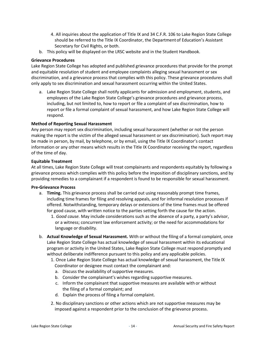- 4. All inquiries about the application of Title IX and 34 C.F.R. 106 to Lake Region State College should be referred to the Title IX Coordinator, the Departmentof Education's Assistant Secretary for Civil Rights, or both.
- b. This policy will be displayed on the LRSC website and in the Student Handbook.

# **Grievance Procedures**

Lake Region State College has adopted and published grievance procedures that provide for the prompt and equitable resolution of student and employee complaints alleging sexual harassment or sex discrimination, and a grievance process that complies with this policy. These grievance procedures shall only apply to sex discrimination and sexual harassment occurring within the United States.

a. Lake Region State College shall notify applicants for admission and employment, students, and employees of the Lake Region State College's grievance procedures and grievance process, including, but not limited to, how to report or file a complaint of sex discrimination, how to report or file a formal complaint of sexual harassment, and how Lake Region State College will respond.

# **Method of Reporting Sexual Harassment**

Any person may report sex discrimination, including sexual harassment (whether or not the person making the report is the victim of the alleged sexual harassment or sex discrimination). Such report may be made in person, by mail, by telephone, or by email, using the Title IX Coordinator's contact information or any other means which results in the Title IX Coordinator receiving the report, regardless of the time of day.

### **Equitable Treatment**

At all times, Lake Region State College will treat complainants and respondents equitably by following a grievance process which complies with this policy before the imposition of disciplinary sanctions, and by providing remedies to a complainant if a respondent is found to be responsible for sexual harassment.

### **Pre-Grievance Process**

- a. **Timing.** This grievance process shall be carried out using reasonably prompt time frames, including time frames for filing and resolving appeals, and for informal resolution processes if offered. Notwithstanding, temporary delays or extensions of the time frames must be offered for good cause, with written notice to the parties setting forth the cause for the action.
	- 1. *Good cause.* May include considerations such as the absence of a party, a party's advisor, or a witness; concurrent law enforcement activity; or the need for accommodations for language or disability.
- b. **Actual Knowledge of Sexual Harassment.** With or without the filing of a formal complaint, once Lake Region State College has actual knowledge of sexual harassment within its educational program or activity in the United States, Lake Region State College must respond promptly and without deliberate indifference pursuant to this policy and any applicable policies.
	- 1. Once Lake Region State College has actual knowledge of sexual harassment, the Title IX Coordinator or designee must contact the complainant and:
		- a. Discuss the availability of supportive measures.
		- b. Consider the complainant's wishes regarding supportive measures.
		- c. Inform the complainant that supportive measures are available with or without the filing of a formal complaint; and
		- d. Explain the process of filing a formal complaint.
	- 2. No disciplinary sanctions or other actions which are not supportive measures may be imposed against a respondent prior to the conclusion of the grievance process.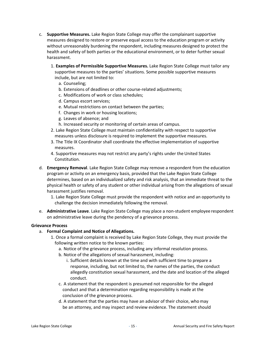- c. **Supportive Measures.** Lake Region State College may offer the complainant supportive measures designed to restore or preserve equal access to the education program or activity without unreasonably burdening the respondent, including measures designed to protect the health and safety of both parties or the educational environment, or to deter further sexual harassment.
	- 1. **Examples of Permissible Supportive Measures.** Lake Region State College must tailor any supportive measures to the parties' situations. Some possible supportive measures include, but are not limited to:
		- a. Counseling;
		- b. Extensions of deadlines or other course-related adjustments;
		- c. Modifications of work or class schedules;
		- d. Campus escort services;
		- e. Mutual restrictions on contact between the parties;
		- f. Changes in work or housing locations;
		- g. Leaves of absence; and
		- h. Increased security or monitoring of certain areas of campus.
	- 2. Lake Region State College must maintain confidentiality with respect to supportive measures unless disclosure is required to implement the supportive measures.
	- 3. The Title IX Coordinator shall coordinate the effective implementation of supportive measures.
	- 4. Supportive measures may not restrict any party's rights under the United States Constitution.
- d. **Emergency Removal**. Lake Region State College may remove a respondent from the education program or activity on an emergency basis, provided that the Lake Region State College determines, based on an individualized safety and risk analysis, that an immediate threat to the physical health or safety of any student or other individual arising from the allegations of sexual harassment justifies removal.
	- 1. Lake Region State College must provide the respondent with notice and an opportunity to challenge the decision immediately following the removal.
- e. **Administrative Leave**. Lake Region State College may place a non-student employee respondent on administrative leave during the pendency of a grievance process.

### **Grievance Process**

- a. **Formal Complaint and Notice of Allegations.**
	- 1. Once a formal complaint is received by Lake Region State College, they must provide the following written notice to the known parties:
		- a. Notice of the grievance process, including any informal resolution process.
		- b. Notice of the allegations of sexual harassment, including:
			- i. Sufficient details known at the time and with sufficient time to prepare a response, including, but not limited to, the names of the parties, the conduct allegedly constitution sexual harassment, and the date and location of the alleged conduct.
		- c. A statement that the respondent is presumed not responsible for the alleged conduct and that a determination regarding responsibility is made at the conclusion of the grievance process.
		- d. A statement that the parties may have an advisor of their choice, who may be an attorney, and may inspect and review evidence. The statement should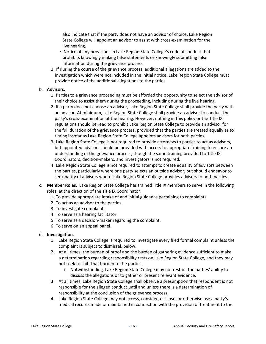also indicate that if the party does not have an advisor of choice, Lake Region State College will appoint an advisor to assist with cross-examination for the live hearing.

- e. Notice of any provisions in Lake Region State College's code of conduct that prohibits knowingly making false statements or knowingly submitting false information during the grievance process.
- 2. If during the course of the grievance process, additional allegations are added to the investigation which were not included in the initial notice, Lake Region State College must provide notice of the additional allegations to the parties.

### b. **Advisors**.

- 1. Parties to a grievance proceeding must be afforded the opportunity to select the advisor of their choice to assist them during the proceeding, including during the live hearing.
- 2. If a party does not choose an advisor, Lake Region State College shall provide the party with an advisor. At minimum, Lake Region State College shall provide an advisor to conduct the party's cross-examination at the hearing. However, nothing in this policy or the Title IX regulations should be read to prohibit Lake Region State College to provide an advisor for the full duration of the grievance process, provided that the parties are treated equally as to timing insofar as Lake Region State College appoints advisors for both parties.
- 3. Lake Region State College is not required to provide attorneys to parties to act as advisors, but appointed advisors should be provided with access to appropriate training to ensure an understanding of the grievance process, though the same training provided to Title IX Coordinators, decision-makers, and investigators is not required.
- 4. Lake Region State College is not required to attempt to create equality of advisors between the parties, particularly where one party selects an outside advisor, but should endeavor to seek parity of advisors where Lake Region State College provides advisors to both parties.
- c. **Member Roles**. Lake Region State College has trained Title IX members to serve in the following roles, at the direction of the Title IX Coordinator:
	- 1. To provide appropriate intake of and initial guidance pertaining to complaints.
	- 2. To act as an advisor to the parties.
	- 3. To investigate complaints.
	- 4. To serve as a hearing facilitator.
	- 5. To serve as a decision-maker regarding the complaint.
	- 6. To serve on an appeal panel.

### d. **Investigation**.

- 1. Lake Region State College is required to investigate every filed formal complaint unless the complaint is subject to dismissal, below.
- 2. At all times, the burden of proof and the burden of gathering evidence sufficient to make a determination regarding responsibility rests on Lake Region State College, and they may not seek to shift that burden to the parties.
	- i. Notwithstanding, Lake Region State College may not restrict the parties' ability to discuss the allegations or to gather or present relevant evidence.
- 3. At all times, Lake Region State College shall observe a presumption that respondent is not responsible for the alleged conduct until and unless there is a determination of responsibility at the conclusion of the grievance process.
- 4. Lake Region State College may not access, consider, disclose, or otherwise use a party's medical records made or maintained in connection with the provision of treatment to the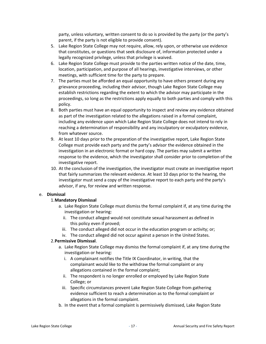party, unless voluntary, written consent to do so is provided by the party (or the party's parent, if the party is not eligible to provide consent).

- 5. Lake Region State College may not require, allow, rely upon, or otherwise use evidence that constitutes, or questions that seek disclosure of, information protected under a legally recognized privilege, unless that privilege is waived.
- 6. Lake Region State College must provide to the parties written notice of the date, time, location, participation, and purpose of all hearings, investigative interviews, or other meetings, with sufficient time for the party to prepare.
- 7. The parties must be afforded an equal opportunity to have others present during any grievance proceeding, including their advisor, though Lake Region State College may establish restrictions regarding the extent to which the advisor may participate in the proceedings, so long as the restrictions apply equally to both parties and comply with this policy.
- 8. Both parties must have an equal opportunity to inspect and review any evidence obtained as part of the investigation related to the allegations raised in a formal complaint, including any evidence upon which Lake Region State College does not intend to rely in reaching a determination of responsibility and any inculpatory or exculpatory evidence, from whatever source.
- 9. At least 10 days prior to the preparation of the investigative report, Lake Region State College must provide each party and the party's advisor the evidence obtained in the investigation in an electronic format or hard copy. The parties may submit a written response to the evidence, which the investigator shall consider prior to completion of the investigative report.
- 10. At the conclusion of the investigation, the investigator must create an investigative report that fairly summarizes the relevant evidence. At least 10 days prior to the hearing, the investigator must send a copy of the investigative report to each party and the party's advisor, if any, for review and written response.

### e. **Dismissal**

### 1.**Mandatory Dismissal**

- a. Lake Region State College must dismiss the formal complaint if, at any time during the investigation or hearing:
	- ii. The conduct alleged would not constitute sexual harassment as defined in this policy even if proved;
	- iii. The conduct alleged did not occur in the education program or activity; or;
- iv. The conduct alleged did not occur against a person in the United States.

### 2.**Permissive Dismissal**.

- a. Lake Region State College may dismiss the formal complaint if, at any time during the investigation or hearing:
	- i. A complainant notifies the Title IX Coordinator, in writing, that the complainant would like to the withdraw the formal complaint or any allegations contained in the formal complaint;
	- ii. The respondent is no longer enrolled or employed by Lake Region State College; or
	- iii. Specific circumstances prevent Lake Region State College from gathering evidence sufficient to reach a determination as to the formal complaint or allegations in the formal complaint.
- b. In the event that a formal complaint is permissively dismissed, Lake Region State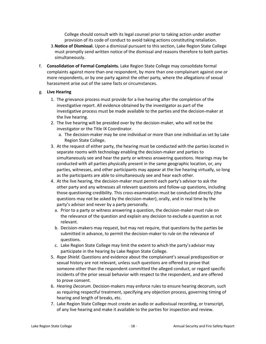College should consult with its legal counsel prior to taking action under another provision of its code of conduct to avoid taking actions constituting retaliation.

- 3.**Notice of Dismissal.** Upon a dismissal pursuant to this section, Lake Region State College must promptly send written notice of the dismissal and reasons therefore to both parties simultaneously.
- f. **Consolidation of Formal Complaints.** Lake Region State College may consolidate formal complaints against more than one respondent, by more than one complainant against one or more respondents, or by one party against the other party, where the allegations of sexual harassment arise out of the same facts or circumstances.

# g. **Live Hearing**

- 1. The grievance process must provide for a live hearing after the completion of the investigative report. All evidence obtained by the investigator as part of the investigative process must be made available to the parties and the decision-maker at the live hearing.
- 2. The live hearing will be presided over by the decision-maker, who will not be the investigator or the Title IX Coordinator.
	- a. The decision-maker may be one individual or more than one individual as set by Lake Region State College.
- 3. At the request of either party, the hearing must be conducted with the parties located in separate rooms with technology enabling the decision-maker and parties to simultaneously see and hear the party or witness answering questions. Hearings may be conducted with all parties physically present in the same geographic location, or, any parties, witnesses, and other participants may appear at the live hearing virtually, so long as the participants are able to simultaneously see and hear each other.
- 4. At the live hearing, the decision-maker must permit each party's advisor to ask the other party and any witnesses all relevant questions and follow-up questions, including those questioning credibility. This cross-examination must be conducted directly (the questions may not be asked by the decision-maker), orally, and in real time by the party's advisor and never by a party personally.
	- a. Prior to a party or witness answering a question, the decision-maker must rule on the relevance of the question and explain any decision to exclude a question as not relevant.
	- b. Decision-makers may request, but may not require, that questions by the parties be submitted in advance, to permit the decision-maker to rule on the relevance of questions.
	- c. Lake Region State College may limit the extent to which the party's advisor may participate in the hearing by Lake Region State College.
- 5. *Rape Shield*. Questions and evidence about the complainant's sexual predisposition or sexual history are not relevant, unless such questions are offered to prove that someone other than the respondent committed the alleged conduct, or regard specific incidents of the prior sexual behavior with respect to the respondent, and are offered to prove consent.
- 6. *Hearing Decorum*. Decision-makers may enforce rules to ensure hearing decorum, such as requiring respectful treatment, specifying any objection process, governing timing of hearing and length of breaks, etc.
- 7. Lake Region State College must create an audio or audiovisual recording, or transcript, of any live hearing and make it available to the parties for inspection and review.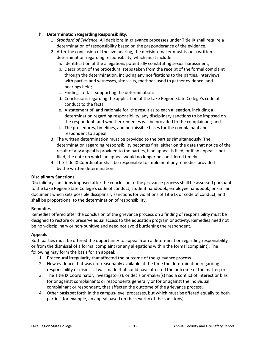## h. **Determination Regarding Responsibility**.

- 1. *Standard of Evidence*. All decisions in grievance processes under Title IX shall require a determination of responsibility based on the preponderance of the evidence.
- 2. After the conclusion of the live hearing, the decision-maker must issue a written determination regarding responsibility, which must include:
	- a. Identification of the allegations potentially constituting sexualharassment;
	- b. Description of the procedural steps taken from the receipt of the formal complaint through the determination, including any notifications to the parties, interviews with parties and witnesses, site visits, methods used to gather evidence, and hearings held;
	- c. Findings of fact supporting the determination;
	- d. Conclusions regarding the application of the Lake Region State College's code of conduct to the facts;
	- e. A statement of, and rationale for, the result as to each allegation, including a determination regarding responsibility, any disciplinary sanctions to be imposed on the respondent, and whether remedies will be provided to the complainant; and
	- f. The procedures, timelines, and permissible bases for the complainant and respondent to appeal.
- 3. The written determination must be provided to the parties simultaneously. The determination regarding responsibility becomes final either on the date that notice of the result of any appeal is provided to the parties, if an appeal is filed, or if an appeal is not filed, the date on which an appeal would no longer be considered timely.
- 4. The Title IX Coordinator shall be responsible to implement any remedies provided by the written determination.

### **Disciplinary Sanctions**

Disciplinary sanctions imposed after the conclusion of the grievance process shall be assessed pursuant to the Lake Region State College's code of conduct, student handbook, employee handbook, or similar document which sets possible disciplinary sanctions for violations of Title IX or code of conduct, and shall be proportional to the determination of responsibility.

### **Remedies**

Remedies offered after the conclusion of the grievance process on a finding of responsibility must be designed to restore or preserve equal access to the education program or activity. Remedies need not be non-disciplinary or non-punitive and need not avoid burdening the respondent.

# **Appeals**

Both parties must be offered the opportunity to appeal from a determination regarding responsibility or from the dismissal of a formal complaint (or any allegations within the formal complaint). The following may form the basis for an appeal:

- 1. Procedural irregularity that affected the outcome of the grievance process.
- 2. New evidence that was not reasonably available at the time the determination regarding responsibility or dismissal was made that could have affected the outcome of the matter; or
- 3. The Title IX Coordinator, investigator(s), or decision-maker(s) had a conflict of interest or bias for or against complainants or respondents generally or for or against the individual complainant or respondent, that affected the outcome of the grievance process.
- 4. Other basis set forth in the campus-level processes, but which must be offered equally to both parties (for example, an appeal based on the severity of the sanctions).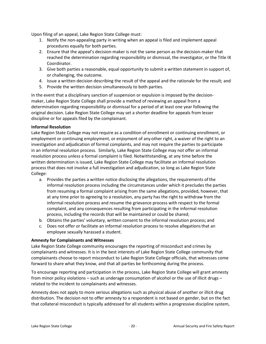Upon filing of an appeal, Lake Region State College must:

- 1. Notify the non-appealing party in writing when an appeal is filed and implement appeal procedures equally for both parties.
- 2. Ensure that the appeal's decision-maker is not the same person as the decision-maker that reached the determination regarding responsibility or dismissal, the investigator, or the Title IX Coordinator.
- 3. Give both parties a reasonable, equal opportunity to submit a written statement in support of, or challenging, the outcome.
- 4. Issue a written decision describing the result of the appeal and the rationale for the result; and
- 5. Provide the written decision simultaneously to both parties.

In the event that a disciplinary sanction of suspension or expulsion is imposed by the decisionmaker, Lake Region State College shall provide a method of reviewing an appeal from a determination regarding responsibility or dismissal for a period of at least one year following the original decision. Lake Region State College may set a shorter deadline for appeals from lesser discipline or for appeals filed by the complainant.

### **Informal Resolution**

Lake Region State College may not require as a condition of enrollment or continuing enrollment, or employment or continuing employment, or enjoyment of any other right, a waiver of the right to an investigation and adjudication of formal complaints, and may not require the parties to participate in an informal resolution process. Similarly, Lake Region State College may not offer an informal resolution process unless a formal complaint is filed. Notwithstanding, at any time before the written determination is issued, Lake Region State College may facilitate an informal resolution process that does not involve a full investigation and adjudication, so long as Lake Region State College:

- a. Provides the parties a written notice disclosing the allegations, the requirements ofthe informal resolution process including the circumstances under which it precludes the parties from resuming a formal complaint arising from the same allegations, provided, however, that at any time prior to agreeing to a resolution, any party has the right to withdraw from the informal resolution process and resume the grievance process with respect to the formal complaint, and any consequences resulting from participating in the informal resolution process, including the records that will be maintained or could be shared;
- b. Obtains the parties' voluntary, written consent to the informal resolution process; and
- c. Does not offer or facilitate an informal resolution process to resolve allegationsthat an employee sexually harassed a student.

### **Amnesty for Complainants and Witnesses**

Lake Region State College community encourages the reporting of misconduct and crimes by complainants and witnesses. It is in the best interests of Lake Region State College community that complainants choose to report misconduct to Lake Region State College officials, that witnesses come forward to share what they know, and that all parties be forthcoming during the process.

To encourage reporting and participation in the process, Lake Region State College will grant amnesty from minor policy violations – such as underage consumption of alcohol or the use of illicit drugs – related to the incident to complainants and witnesses.

Amnesty does not apply to more serious allegations such as physical abuse of another or illicit drug distribution. The decision not to offer amnesty to a respondent is not based on gender, but on the fact that collateral misconduct is typically addressed for all students within a progressive discipline system,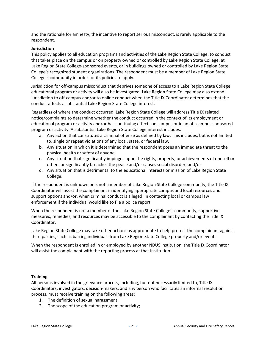and the rationale for amnesty, the incentive to report serious misconduct, is rarely applicable to the respondent.

### **Jurisdiction**

This policy applies to all education programs and activities of the Lake Region State College, to conduct that takes place on the campus or on property owned or controlled by Lake Region State College, at Lake Region State College-sponsored events, or in buildings owned or controlled by Lake Region State College's recognized student organizations. The respondent must be a member of Lake Region State College's community in order for its policies to apply.

Jurisdiction for off-campus misconduct that deprives someone of access to a Lake Region State College educational program or activity will also be investigated. Lake Region State College may also extend jurisdiction to off-campus and/or to online conduct when the Title IX Coordinator determines that the conduct affects a substantial Lake Region State College interest.

Regardless of where the conduct occurred, Lake Region State College will address Title IX related notice/complaints to determine whether the conduct occurred in the context of its employment or educational program or activity and/or has continuing effects on campus or in an off-campus sponsored program or activity. A substantial Lake Region State College interest includes:

- a. Any action that constitutes a criminal offense as defined by law. This includes, but is not limited to, single or repeat violations of any local, state, or federal law.
- b. Any situation in which it is determined that the respondent poses an immediate threat to the physical health or safety of anyone.
- c. Any situation that significantly impinges upon the rights, property, or achievements of oneself or others or significantly breaches the peace and/or causes social disorder; and/or
- d. Any situation that is detrimental to the educational interests or mission of Lake Region State College.

If the respondent is unknown or is not a member of Lake Region State College community, the Title IX Coordinator will assist the complainant in identifying appropriate campus and local resources and support options and/or, when criminal conduct is alleged, in contacting local or campus law enforcement if the individual would like to file a police report.

When the respondent is not a member of the Lake Region State College's community, supportive measures, remedies, and resources may be accessible to the complainant by contacting the Title IX Coordinator.

Lake Region State College may take other actions as appropriate to help protect the complainant against third parties, such as barring individuals from Lake Region State College property and/or events.

When the respondent is enrolled in or employed by another NDUS institution, the Title IX Coordinator will assist the complainant with the reporting process at that institution.

### **Training**

All persons involved in the grievance process, including, but not necessarily limited to, Title IX Coordinators, investigators, decision-makers, and any person who facilitates an informal resolution process, must receive training on the following areas:

- 1. The definition of sexual harassment;
- 2. The scope of the education program or activity;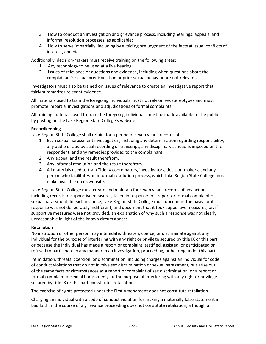- 3. How to conduct an investigation and grievance process, including hearings, appeals, and informal resolution processes, as applicable;
- 4. How to serve impartially, including by avoiding prejudgment of the facts at issue, conflicts of interest, and bias.

Additionally, decision-makers must receive training on the following areas:

- 1. Any technology to be used at a live hearing.
- 2. Issues of relevance or questions and evidence, including when questions about the complainant's sexual predisposition or prior sexual behavior are not relevant.

Investigators must also be trained on issues of relevance to create an investigative report that fairly summarizes relevant evidence.

All materials used to train the foregoing individuals must not rely on sex stereotypes and must promote impartial investigations and adjudications of formal complaints.

All training materials used to train the foregoing individuals must be made available to the public by posting on the Lake Region State College's website.

### **Recordkeeping**

Lake Region State College shall retain, for a period of seven years, records of:

- 1. Each sexual harassment investigation, including any determination regarding responsibility; any audio or audiovisual recording or transcript; any disciplinary sanctions imposed on the respondent, and any remedies provided to the complainant.
- 2. Any appeal and the result therefrom.
- 3. Any informal resolution and the result therefrom.
- 4. All materials used to train Title IX coordinators, investigators, decision-makers, and any person who facilitates an informal resolution process, which Lake Region State College must make available on its website.

Lake Region State College must create and maintain for seven years, records of any actions, including records of supportive measures, taken in response to a report or formal complaint of sexual harassment. In each instance, Lake Region State College must document the basis for its response was not deliberately indifferent, and document that it took supportive measures, or, if supportive measures were not provided, an explanation of why such a response was not clearly unreasonable in light of the known circumstances.

### **Retaliation**

No institution or other person may intimidate, threaten, coerce, or discriminate against any individual for the purpose of interfering with any right or privilege secured by title IX or this part, or because the individual has made a report or complaint, testified, assisted, or participated or refused to participate in any manner in an investigation, proceeding, or hearing under this part.

Intimidation, threats, coercion, or discrimination, including charges against an individual for code of conduct violations that do not involve sex discrimination or sexual harassment, but arise out of the same facts or circumstances as a report or complaint of sex discrimination, or a report or formal complaint of sexual harassment, for the purpose of interfering with any right or privilege secured by title IX or this part, constitutes retaliation.

The exercise of rights protected under the First Amendment does not constitute retaliation.

Charging an individual with a code of conduct violation for making a materially false statement in bad faith in the course of a grievance proceeding does not constitute retaliation, although a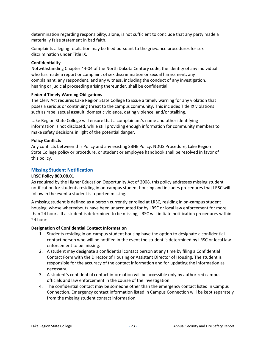determination regarding responsibility, alone, is not sufficient to conclude that any party made a materially false statement in bad faith.

Complaints alleging retaliation may be filed pursuant to the grievance procedures for sex discrimination under Title IX.

### **Confidentiality**

Notwithstanding Chapter 44-04 of the North Dakota Century code, the identity of any individual who has made a report or complaint of sex discrimination or sexual harassment, any complainant, any respondent, and any witness, including the conduct of any investigation, hearing or judicial proceeding arising thereunder, shall be confidential.

### **Federal Timely Warning Obligations**

The Clery Act requires Lake Region State College to issue a timely warning for any violation that poses a serious or continuing threat to the campus community. This includes Title IX violations such as rape, sexual assault, domestic violence, dating violence, and/or stalking.

Lake Region State College will ensure that a complainant's name and other identifying information is not disclosed, while still providing enough information for community members to make safety decisions in light of the potential danger.

### **Policy Conflicts**

Any conflicts between this Policy and any existing SBHE Policy, NDUS Procedure, Lake Region State College policy or procedure, or student or employee handbook shall be resolved in favor of this policy.

### **Missing Student Notification**

### **LRSC Policy 800.08.01**

As required by the Higher Education Opportunity Act of 2008, this policy addresses missing student notification for students residing in on-campus student housing and includes procedures that LRSC will follow in the event a student is reported missing.

A missing student is defined as a person currently enrolled at LRSC, residing in on-campus student housing, whose whereabouts have been unaccounted for by LRSC or local law enforcement for more than 24 hours. If a student is determined to be missing, LRSC will initiate notification procedures within 24 hours.

### **Designation of Confidential Contact Information**

- 1. Students residing in on-campus student housing have the option to designate a confidential contact person who will be notified in the event the student is determined by LRSC or local law enforcement to be missing.
- 2. A student may designate a confidential contact person at any time by filing a Confidential Contact Form with the Director of Housing or Assistant Director of Housing. The student is responsible for the accuracy of the contact information and for updating the information as necessary.
- 3. A student's confidential contact information will be accessible only by authorized campus officials and law enforcement in the course of the investigation.
- 4. The confidential contact may be someone other than the emergency contact listed in Campus Connection. Emergency contact information listed in Campus Connection will be kept separately from the missing student contact information.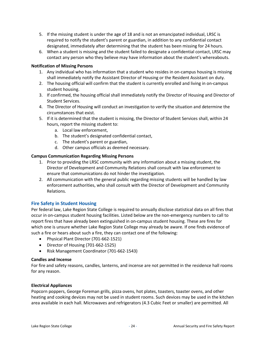- 5. If the missing student is under the age of 18 and is not an emancipated individual, LRSC is required to notify the student's parent or guardian, in addition to any confidential contact designated, immediately after determining that the student has been missing for 24 hours.
- 6. When a student is missing and the student failed to designate a confidential contact, LRSC may contact any person who they believe may have information about the student's whereabouts.

### **Notification of Missing Persons**

- 1. Any individual who has information that a student who resides in on-campus housing is missing shall immediately notify the Assistant Director of Housing or the Resident Assistant on duty.
- 2. The housing official will confirm that the student is currently enrolled and living in on-campus student housing.
- 3. If confirmed, the housing official shall immediately notify the Director of Housing and Director of Student Services.
- 4. The Director of Housing will conduct an investigation to verify the situation and determine the circumstances that exist.
- 5. If it is determined that the student is missing, the Director of Student Services shall, within 24 hours, report the missing student to:
	- a. Local law enforcement,
	- b. The student's designated confidential contact,
	- c. The student's parent or guardian,
	- d. Other campus officials as deemed necessary.

### **Campus Communication Regarding Missing Persons**

- 1. Prior to providing the LRSC community with any information about a missing student, the Director of Development and Community Relations shall consult with law enforcement to ensure that communications do not hinder the investigation.
- 2. All communication with the general public regarding missing students will be handled by law enforcement authorities, who shall consult with the Director of Development and Community Relations.

### **Fire Safety in Student Housing**

Per federal law, Lake Region State College is required to annually disclose statistical data on all fires that occur in on-campus student housing facilities. Listed below are the non-emergency numbers to call to report fires that have already been extinguished in on-campus student housing. These are fires for which one is unsure whether Lake Region State College may already be aware. If one finds evidence of such a fire or hears about such a fire, they can contact one of the following:

- Physical Plant Director (701-662-1521)
- Director of Housing (701-662-1525)
- Risk Management Coordinator (701-662-1543)

### **Candles and Incense**

For fire and safety reasons, candles, lanterns, and incense are not permitted in the residence hall rooms for any reason.

### **Electrical Appliances**

Popcorn poppers, George Foreman grills, pizza ovens, hot plates, toasters, toaster ovens, and other heating and cooking devices may not be used in student rooms. Such devices may be used in the kitchen area available in each hall. Microwaves and refrigerators (4.3 Cubic Feet or smaller) are permitted. All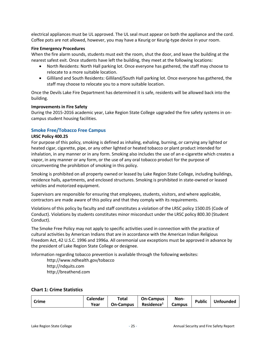electrical appliances must be UL approved. The UL seal must appear on both the appliance and the cord. Coffee pots are not allowed, however, you may have a Keurig or Keurig-type device in your room.

### **Fire Emergency Procedures**

When the fire alarm sounds, students must exit the room, shut the door, and leave the building at the nearest safest exit. Once students have left the building, they meet at the following locations:

- North Residents: North Hall parking lot. Once everyone has gathered, the staff may choose to relocate to a more suitable location.
- Gilliland and South Residents: Gilliland/South Hall parking lot. Once everyone has gathered, the staff may choose to relocate you to a more suitable location.

Once the Devils Lake Fire Department has determined it is safe, residents will be allowed back into the building.

### **Improvements in Fire Safety**

During the 2015-2016 academic year, Lake Region State College upgraded the fire safety systems in oncampus student housing facilities.

### **Smoke Free/Tobacco Free Campus**

### **LRSC Policy 400.25**

For purpose of this policy, smoking is defined as inhaling, exhaling, burning, or carrying any lighted or heated cigar, cigarette, pipe, or any other lighted or heated tobacco or plant product intended for inhalation, in any manner or in any form. Smoking also includes the use of an e-cigarette which creates a vapor, in any manner or any form, or the use of any oral tobacco product for the purpose of circumventing the prohibition of smoking in this policy.

Smoking is prohibited on all property owned or leased by Lake Region State College, including buildings, residence halls, apartments, and enclosed structures. Smoking is prohibited in state-owned or leased vehicles and motorized equipment.

Supervisors are responsible for ensuring that employees, students, visitors, and where applicable, contractors are made aware of this policy and that they comply with its requirements.

Violations of this policy by faculty and staff constitutes a violation of the LRSC policy 1500.05 (Code of Conduct). Violations by students constitutes minor misconduct under the LRSC policy 800.30 (Student Conduct).

The Smoke Free Policy may not apply to specific activities used in connection with the practice of cultural activities by American Indians that are in accordance with the American Indian Religious Freedom Act, 42 U.S.C. 1996 and 1996a. All ceremonial use exceptions must be approved in advance by the president of Lake Region State College or designee.

Information regarding tobacco prevention is available through the following websites:

<http://www.ndhealth.gov/tobacco> [http://ndquits.com](http://ndquits.com/) [http://breathend.com](http://breathend.com/)

### **Chart 1: Crime Statistics**

| <b>Crime</b> | Calendar | Total            | <b>On-Campus</b>       | Non-          | <b>Public</b> | Unfounded |
|--------------|----------|------------------|------------------------|---------------|---------------|-----------|
|              | Year     | <b>On-Campus</b> | Residence <sup>1</sup> | <b>Campus</b> |               |           |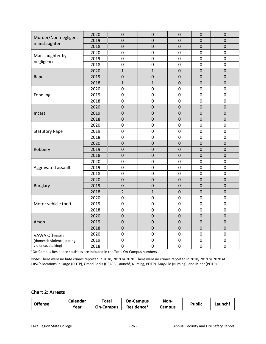| Murder/Non-negligent<br>manslaughter | 2020<br>2019 | 0<br>$\mathbf 0$ | 0                | 0<br>$\mathbf 0$ | 0<br>$\mathbf 0$ | 0                |
|--------------------------------------|--------------|------------------|------------------|------------------|------------------|------------------|
|                                      | 2018         | $\mathbf 0$      | 0<br>$\mathbf 0$ | $\overline{0}$   | $\mathbf 0$      | 0<br>$\mathbf 0$ |
|                                      |              |                  |                  |                  |                  |                  |
| Manslaughter by                      | 2020         | $\mathbf 0$      | $\mathbf 0$      | 0                | $\overline{0}$   | $\mathbf 0$      |
| negligence                           | 2019         | 0                | $\mathbf 0$      | 0                | 0                | $\mathbf 0$      |
|                                      | 2018         | $\mathbf 0$      | $\mathbf 0$      | $\overline{0}$   | $\mathbf 0$      | $\mathbf 0$      |
|                                      | 2020         | $\mathbf{1}$     | $\mathbf{1}$     | $\mathbf 0$      | $\overline{0}$   | $\mathbf 0$      |
| Rape                                 | 2019         | $\mathbf 0$      | $\mathbf 0$      | $\overline{0}$   | $\overline{0}$   | $\overline{0}$   |
|                                      | 2018         | $\mathbf{1}$     | $\mathbf{1}$     | $\mathsf 0$      | $\Omega$         | $\Omega$         |
|                                      | 2020         | $\mathbf 0$      | $\mathbf 0$      | 0                | $\Omega$         | $\mathbf 0$      |
| Fondling                             | 2019         | $\mathbf 0$      | $\pmb{0}$        | $\mathsf 0$      | $\mathbf 0$      | $\pmb{0}$        |
|                                      | 2018         | $\mathbf 0$      | $\mathbf 0$      | 0                | $\mathbf 0$      | $\mathbf 0$      |
|                                      | 2020         | $\mathbf 0$      | $\overline{0}$   | $\overline{0}$   | $\mathbf 0$      | $\mathbf 0$      |
| Incest                               | 2019         | $\mathbf 0$      | $\mathbf 0$      | 0                | $\Omega$         | 0                |
|                                      | 2018         | $\mathbf 0$      | $\mathbf 0$      | $\mathbf 0$      | $\mathbf 0$      | $\mathbf 0$      |
|                                      | 2020         | $\mathbf 0$      | 0                | 0                | 0                | $\mathbf 0$      |
| <b>Statutory Rape</b>                | 2019         | $\mathbf 0$      | 0                | 0                | 0                | $\mathbf 0$      |
|                                      | 2018         | $\mathbf 0$      | $\pmb{0}$        | $\overline{0}$   | $\overline{0}$   | $\mathbf 0$      |
|                                      | 2020         | $\mathbf 0$      | $\mathbf 0$      | $\mathbf 0$      | $\overline{0}$   | $\pmb{0}$        |
| Robbery                              | 2019         | $\mathbf 0$      | $\mathbf 0$      | $\mathbf 0$      | $\mathbf 0$      | $\mathbf 0$      |
|                                      | 2018         | $\mathbf 0$      | $\mathbf 0$      | $\mathbf 0$      | $\mathbf 0$      | $\mathbf 0$      |
|                                      | 2020         | $\mathbf 0$      | $\mathbf 0$      | 0                | $\mathbf 0$      | $\mathbf 0$      |
| Aggravated assault                   | 2019         | $\mathbf 0$      | $\mathbf 0$      | $\mathbf 0$      | $\mathbf 0$      | $\mathbf 0$      |
|                                      | 2018         | $\mathbf 0$      | $\mathbf 0$      | 0                | 0                | $\mathbf 0$      |
|                                      | 2020         | $\mathbf 0$      | $\mathbf 0$      | $\overline{0}$   | $\Omega$         | $\overline{0}$   |
| <b>Burglary</b>                      | 2019         | $\mathbf 0$      | $\overline{0}$   | $\overline{0}$   | $\overline{0}$   | $\overline{0}$   |
|                                      | 2018         | $\overline{2}$   | $\mathbf{1}$     | $\overline{0}$   | $\overline{0}$   | $\mathbf 0$      |
|                                      | 2020         | $\mathbf 0$      | 0                | 0                | 0                | 0                |
| Motor vehicle theft                  | 2019         | $\mathbf 0$      | 0                | 0                | 0                | $\pmb{0}$        |
|                                      | 2018         | $\mathbf 0$      | $\pmb{0}$        | 0                | 0                | $\pmb{0}$        |
|                                      | 2020         | $\mathbf 0$      | $\mathbf 0$      | $\mathbf 0$      | $\mathbf 0$      | 0                |
| Arson                                | 2019         | $\mathbf 0$      | 0                | 0                | 0                | 0                |
|                                      | 2018         | $\mathbf 0$      | $\mathbf 0$      | $\mathbf 0$      | $\mathbf 0$      | $\mathbf 0$      |
| <b>VAWA Offenses</b>                 | 2020         | 0                | 0                | 0                | $\mathbf 0$      | $\mathbf 0$      |
| (domestic violence, dating           | 2019         | $\mathbf 0$      | $\mathbf 0$      | 0                | $\mathbf 0$      | $\mathbf 0$      |
| violence, stalking)                  | 2018         | $\mathbf 0$      | $\mathbf 0$      | 0                | $\mathbf 0$      | $\mathbf 0$      |
|                                      |              |                  |                  |                  |                  |                  |

<sup>1</sup>On-Campus Residence statistics are included in the Total On-Campus numbers.

Note: There were no hate crimes reported in 2018, 2019 or 2020. There were no crimes reported in 2018, 2019 or 2020 at LRSC's locations in Fargo (POTP), Grand Forks (GFAFB, Launch!, Nursing, POTP), Mayville (Nursing), and Minot (POTP).

# **Chart 2: Arrests**

| <b>Offense</b> | Calendar | Total            | <b>On-Campus</b>       | Non-   | <b>Public</b> |         |
|----------------|----------|------------------|------------------------|--------|---------------|---------|
|                | Year     | <b>On-Campus</b> | Residence <sup>1</sup> | Campus |               | Launch! |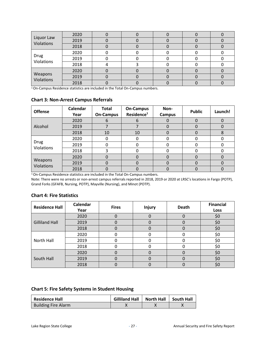| Liquor Law<br>Violations | 2020 |  |  |  |
|--------------------------|------|--|--|--|
|                          | 2019 |  |  |  |
|                          | 2018 |  |  |  |
|                          | 2020 |  |  |  |
| Drug<br>Violations       | 2019 |  |  |  |
|                          | 2018 |  |  |  |
|                          | 2020 |  |  |  |
| Weapons<br>Violations    | 2019 |  |  |  |
|                          | 2018 |  |  |  |

<sup>1</sup>On-Campus Residence statistics are included in the Total On-Campus numbers.

### **Chart 3: Non-Arrest Campus Referrals**

| <b>Offense</b>               | Calendar<br>Year | <b>Total</b><br><b>On-Campus</b> | <b>On-Campus</b><br>Residence <sup>1</sup> | Non-<br><b>Campus</b> | <b>Public</b> | Launch! |
|------------------------------|------------------|----------------------------------|--------------------------------------------|-----------------------|---------------|---------|
|                              | 2020             | b                                | b                                          |                       | 0             |         |
| Alcohol                      | 2019             |                                  |                                            | O                     | 0             |         |
|                              | 2018             | 10                               | 10                                         | 0                     | $\Omega$      | 8       |
|                              | 2020             |                                  |                                            | 0                     |               |         |
| Drug<br>Violations           | 2019             |                                  |                                            | 0                     | 0             |         |
|                              | 2018             |                                  |                                            | 0                     | <sup>0</sup>  |         |
|                              | 2020             |                                  |                                            | 0                     | $\Omega$      |         |
| Weapons<br><b>Violations</b> | 2019             |                                  |                                            | 0                     | O             | 0       |
|                              | 2018             |                                  |                                            | 0                     | O             |         |

1On-Campus Residence statistics are included in the Total On-Campus numbers.

Note: There were no arrests or non-arrest campus referrals reported in 2018, 2019 or 2020 at LRSC's locations in Fargo (POTP), Grand Forks (GFAFB, Nursing, POTP), Mayville (Nursing), and Minot (POTP).

### **Chart 4: Fire Statistics**

| <b>Residence Hall</b> | Calendar<br>Year | <b>Fires</b> | <b>Injury</b> | <b>Death</b> | <b>Financial</b><br>Loss |
|-----------------------|------------------|--------------|---------------|--------------|--------------------------|
|                       | 2020             |              |               |              | \$0                      |
| <b>Gilliland Hall</b> | 2019             |              |               | 0            | \$0                      |
|                       | 2018             |              |               |              | \$0                      |
| North Hall            | 2020             |              |               |              | \$0                      |
|                       | 2019             |              |               |              | \$0                      |
|                       | 2018             |              |               |              | \$0                      |
| South Hall            | 2020             |              |               | 0            | \$0                      |
|                       | 2019             |              |               |              | \$0                      |
|                       | 2018             |              |               |              | \$0                      |

# **Chart 5: Fire Safety Systems in Student Housing**

| <b>Residence Hall</b>      | <b>Gilliland Hall</b> | <b>North Hall</b> | │   South Hall |
|----------------------------|-----------------------|-------------------|----------------|
| <b>Building Fire Alarm</b> |                       |                   |                |